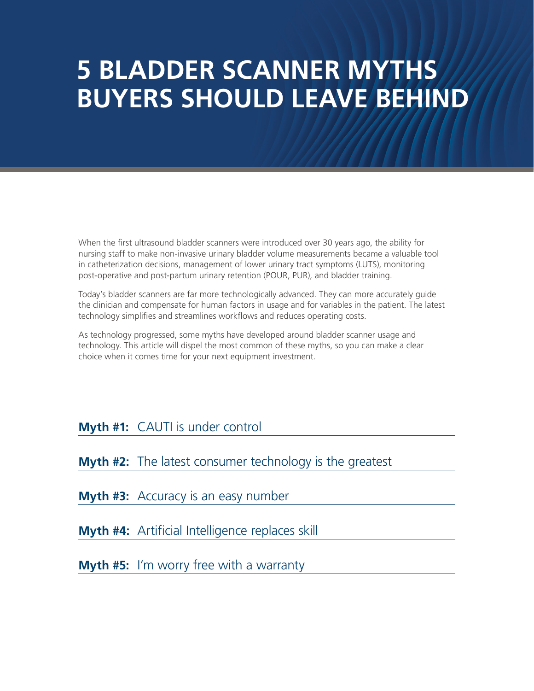# **5 BLADDER SCANNER MYTHS BUYERS SHOULD LEAVE BEHIND**

When the first ultrasound bladder scanners were introduced over 30 years ago, the ability for nursing staff to make non-invasive urinary bladder volume measurements became a valuable tool in catheterization decisions, management of lower urinary tract symptoms (LUTS), monitoring post-operative and post-partum urinary retention (POUR, PUR), and bladder training.

Today's bladder scanners are far more technologically advanced. They can more accurately guide the clinician and compensate for human factors in usage and for variables in the patient. The latest technology simplifies and streamlines workflows and reduces operating costs.

As technology progressed, some myths have developed around bladder scanner usage and technology. This article will dispel the most common of these myths, so you can make a clear choice when it comes time for your next equipment investment.

### **Myth #1:** CAUTI is under control

**Myth #2:** The latest consumer technology is the greatest

**Myth #3:** Accuracy is an easy number

**Myth #4:** Artificial Intelligence replaces skill

**Myth #5:** I'm worry free with a warranty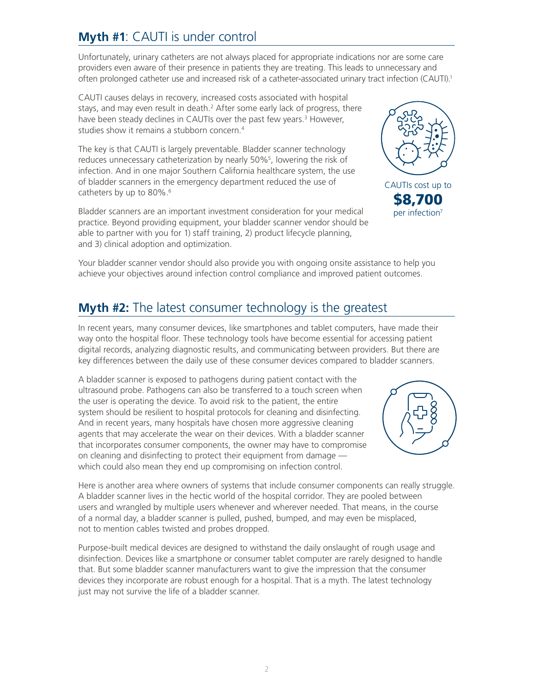## **Myth #1**: CAUTI is under control

Unfortunately, urinary catheters are not always placed for appropriate indications nor are some care providers even aware of their presence in patients they are treating. This leads to unnecessary and often prolonged catheter use and increased risk of a catheter-associated urinary tract infection (CAUTI).1

CAUTI causes delays in recovery, increased costs associated with hospital stays, and may even result in death.<sup>2</sup> After some early lack of progress, there have been steady declines in CAUTIs over the past few years.<sup>3</sup> However, studies show it remains a stubborn concern.<sup>4</sup>

The key is that CAUTI is largely preventable. Bladder scanner technology reduces unnecessary catheterization by nearly 50%<sup>5</sup>, lowering the risk of infection. And in one major Southern California healthcare system, the use of bladder scanners in the emergency department reduced the use of catheters by up to 80%.<sup>6</sup>

Bladder scanners are an important investment consideration for your medical practice. Beyond providing equipment, your bladder scanner vendor should be able to partner with you for 1) staff training, 2) product lifecycle planning, and 3) clinical adoption and optimization.



Your bladder scanner vendor should also provide you with ongoing onsite assistance to help you achieve your objectives around infection control compliance and improved patient outcomes.

### **Myth #2:** The latest consumer technology is the greatest

In recent years, many consumer devices, like smartphones and tablet computers, have made their way onto the hospital floor. These technology tools have become essential for accessing patient digital records, analyzing diagnostic results, and communicating between providers. But there are key differences between the daily use of these consumer devices compared to bladder scanners.

A bladder scanner is exposed to pathogens during patient contact with the ultrasound probe. Pathogens can also be transferred to a touch screen when the user is operating the device. To avoid risk to the patient, the entire system should be resilient to hospital protocols for cleaning and disinfecting. And in recent years, many hospitals have chosen more aggressive cleaning agents that may accelerate the wear on their devices. With a bladder scanner that incorporates consumer components, the owner may have to compromise on cleaning and disinfecting to protect their equipment from damage which could also mean they end up compromising on infection control.

Here is another area where owners of systems that include consumer components can really struggle. A bladder scanner lives in the hectic world of the hospital corridor. They are pooled between users and wrangled by multiple users whenever and wherever needed. That means, in the course of a normal day, a bladder scanner is pulled, pushed, bumped, and may even be misplaced, not to mention cables twisted and probes dropped.

Purpose-built medical devices are designed to withstand the daily onslaught of rough usage and disinfection. Devices like a smartphone or consumer tablet computer are rarely designed to handle that. But some bladder scanner manufacturers want to give the impression that the consumer devices they incorporate are robust enough for a hospital. That is a myth. The latest technology just may not survive the life of a bladder scanner.

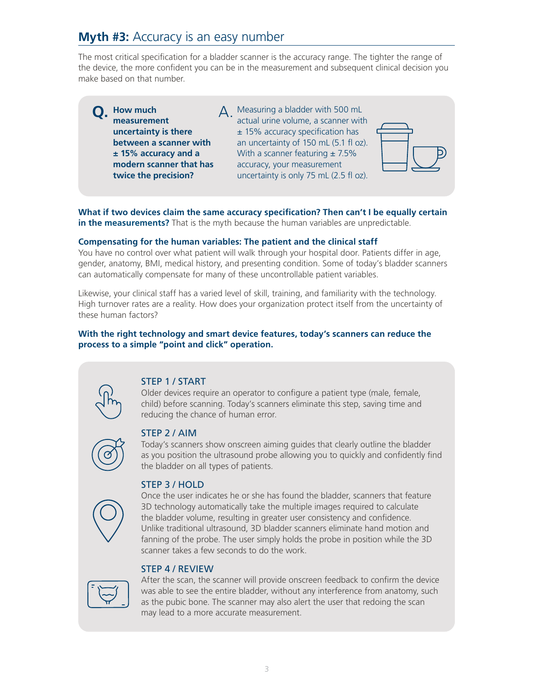### **Myth #3:** Accuracy is an easy number

The most critical specification for a bladder scanner is the accuracy range. The tighter the range of the device, the more confident you can be in the measurement and subsequent clinical decision you make based on that number.

- $\mathbf{Q}$ . How much  $\qquad \qquad \mathbf{A}$ . **measurement uncertainty is there between a scanner with ± 15% accuracy and a modern scanner that has twice the precision?**
- A Measuring a bladder with 500 mL actual urine volume, a scanner with ± 15% accuracy specification has an uncertainty of 150 mL (5.1 fl oz). With a scanner featuring  $\pm 7.5\%$ accuracy, your measurement uncertainty is only 75 mL (2.5 fl oz).

**What if two devices claim the same accuracy specification? Then can't I be equally certain in the measurements?** That is the myth because the human variables are unpredictable.

#### **Compensating for the human variables: The patient and the clinical staff**

You have no control over what patient will walk through your hospital door. Patients differ in age, gender, anatomy, BMI, medical history, and presenting condition. Some of today's bladder scanners can automatically compensate for many of these uncontrollable patient variables.

Likewise, your clinical staff has a varied level of skill, training, and familiarity with the technology. High turnover rates are a reality. How does your organization protect itself from the uncertainty of these human factors?

#### **With the right technology and smart device features, today's scanners can reduce the process to a simple "point and click" operation.**



#### STEP 1 / START

Older devices require an operator to configure a patient type (male, female, child) before scanning. Today's scanners eliminate this step, saving time and reducing the chance of human error.

#### STEP 2 / AIM

Today's scanners show onscreen aiming guides that clearly outline the bladder as you position the ultrasound probe allowing you to quickly and confidently find the bladder on all types of patients.

#### STEP 3 / HOLD

Once the user indicates he or she has found the bladder, scanners that feature 3D technology automatically take the multiple images required to calculate the bladder volume, resulting in greater user consistency and confidence. Unlike traditional ultrasound, 3D bladder scanners eliminate hand motion and fanning of the probe. The user simply holds the probe in position while the 3D scanner takes a few seconds to do the work.

#### STEP 4 / REVIEW



After the scan, the scanner will provide onscreen feedback to confirm the device was able to see the entire bladder, without any interference from anatomy, such as the pubic bone. The scanner may also alert the user that redoing the scan may lead to a more accurate measurement.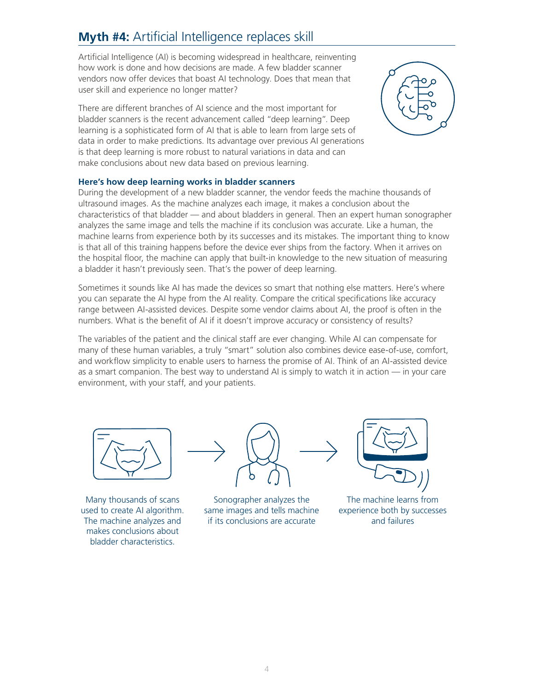## **Myth #4:** Artificial Intelligence replaces skill

Artificial Intelligence (AI) is becoming widespread in healthcare, reinventing how work is done and how decisions are made. A few bladder scanner vendors now offer devices that boast AI technology. Does that mean that user skill and experience no longer matter?





#### **Here's how deep learning works in bladder scanners**

During the development of a new bladder scanner, the vendor feeds the machine thousands of ultrasound images. As the machine analyzes each image, it makes a conclusion about the characteristics of that bladder — and about bladders in general. Then an expert human sonographer analyzes the same image and tells the machine if its conclusion was accurate. Like a human, the machine learns from experience both by its successes and its mistakes. The important thing to know is that all of this training happens before the device ever ships from the factory. When it arrives on the hospital floor, the machine can apply that built-in knowledge to the new situation of measuring a bladder it hasn't previously seen. That's the power of deep learning.

Sometimes it sounds like AI has made the devices so smart that nothing else matters. Here's where you can separate the AI hype from the AI reality. Compare the critical specifications like accuracy range between AI-assisted devices. Despite some vendor claims about AI, the proof is often in the numbers. What is the benefit of AI if it doesn't improve accuracy or consistency of results?

The variables of the patient and the clinical staff are ever changing. While AI can compensate for many of these human variables, a truly "smart" solution also combines device ease-of-use, comfort, and workflow simplicity to enable users to harness the promise of AI. Think of an AI-assisted device as a smart companion. The best way to understand AI is simply to watch it in action — in your care environment, with your staff, and your patients.



Many thousands of scans used to create AI algorithm. The machine analyzes and makes conclusions about bladder characteristics.



Sonographer analyzes the same images and tells machine if its conclusions are accurate



The machine learns from experience both by successes and failures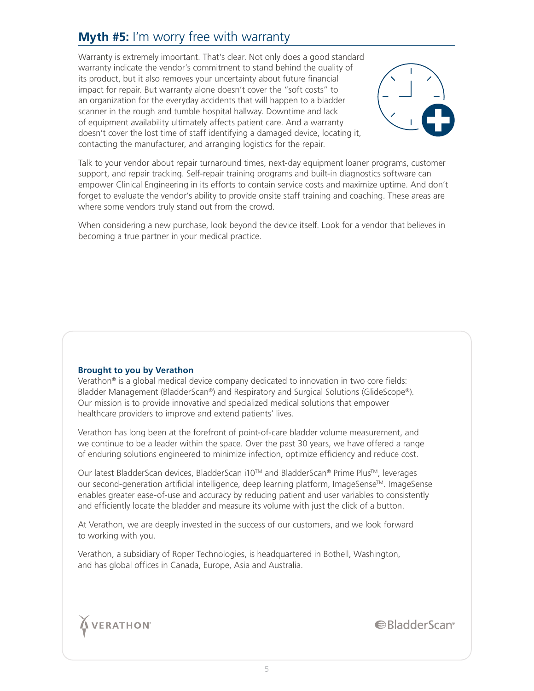### **Myth #5:** I'm worry free with warranty

Warranty is extremely important. That's clear. Not only does a good standard warranty indicate the vendor's commitment to stand behind the quality of its product, but it also removes your uncertainty about future financial impact for repair. But warranty alone doesn't cover the "soft costs" to an organization for the everyday accidents that will happen to a bladder scanner in the rough and tumble hospital hallway. Downtime and lack of equipment availability ultimately affects patient care. And a warranty doesn't cover the lost time of staff identifying a damaged device, locating it, contacting the manufacturer, and arranging logistics for the repair.



Talk to your vendor about repair turnaround times, next-day equipment loaner programs, customer support, and repair tracking. Self-repair training programs and built-in diagnostics software can empower Clinical Engineering in its efforts to contain service costs and maximize uptime. And don't forget to evaluate the vendor's ability to provide onsite staff training and coaching. These areas are where some vendors truly stand out from the crowd.

When considering a new purchase, look beyond the device itself. Look for a vendor that believes in becoming a true partner in your medical practice.

#### **Brought to you by Verathon**

Verathon® is a global medical device company dedicated to innovation in two core fields: Bladder Management (BladderScan®) and Respiratory and Surgical Solutions (GlideScope®). Our mission is to provide innovative and specialized medical solutions that empower healthcare providers to improve and extend patients' lives.

Verathon has long been at the forefront of point-of-care bladder volume measurement, and we continue to be a leader within the space. Over the past 30 years, we have offered a range of enduring solutions engineered to minimize infection, optimize efficiency and reduce cost.

Our latest BladderScan devices, BladderScan i10™ and BladderScan® Prime Plus™, leverages our second-generation artificial intelligence, deep learning platform, ImageSense<sup>TM</sup>. ImageSense enables greater ease-of-use and accuracy by reducing patient and user variables to consistently and efficiently locate the bladder and measure its volume with just the click of a button.

At Verathon, we are deeply invested in the success of our customers, and we look forward to working with you.

Verathon, a subsidiary of Roper Technologies, is headquartered in Bothell, Washington, and has global offices in Canada, Europe, Asia and Australia.



**<del></del>**BladderScan®